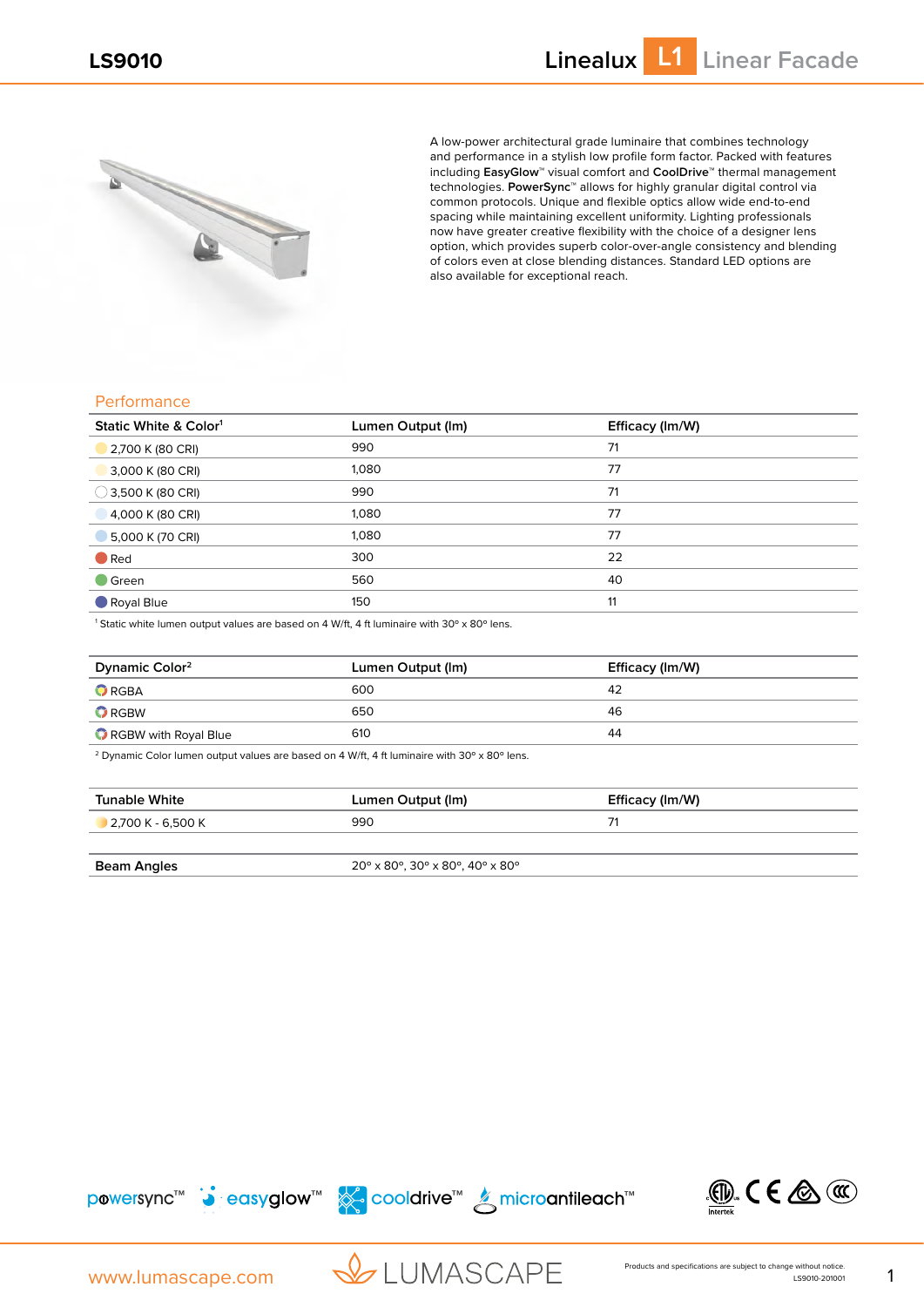

A low-power architectural grade luminaire that combines technology and performance in a stylish low profile form factor. Packed with features including **EasyGlow™** visual comfort and **CoolDrive™** thermal management technologies. **PowerSync™** allows for highly granular digital control via common protocols. Unique and flexible optics allow wide end-to-end spacing while maintaining excellent uniformity. Lighting professionals now have greater creative flexibility with the choice of a designer lens option, which provides superb color-over-angle consistency and blending of colors even at close blending distances. Standard LED options are also available for exceptional reach.

## Performance

| Static White & Color <sup>1</sup> | Lumen Output (Im) | Efficacy (Im/W) |
|-----------------------------------|-------------------|-----------------|
| 2,700 K (80 CRI)                  | 990               | 71              |
| 3,000 K (80 CRI)                  | 1,080             | 77              |
| $\bigcirc$ 3,500 K (80 CRI)       | 990               | 71              |
| 4,000 K (80 CRI)                  | 1,080             | 77              |
| 5,000 K (70 CRI)                  | 1,080             | 77              |
| $\bullet$ Red                     | 300               | 22              |
| $\blacksquare$ Green              | 560               | 40              |
| Royal Blue                        | 150               | 11              |

 $^1$  Static white lumen output values are based on 4 W/ft, 4 ft luminaire with 30° x 80° lens.

| Dynamic Color <sup>2</sup> | Lumen Output (Im) | Efficacy (Im/W) |
|----------------------------|-------------------|-----------------|
| $\bullet$ RGBA             | 600               | 42              |
| $\bullet$ RGBW             | 650               | 46              |
| RGBW with Royal Blue       | 610               | 44              |

<sup>2</sup> Dynamic Color lumen output values are based on 4 W/ft, 4 ft luminaire with 30° x 80° lens.

| Tunable White       | Lumen Output (Im)                        | Efficacy (Im/W) |  |
|---------------------|------------------------------------------|-----------------|--|
| $2.700 K - 6.500 K$ | 990                                      |                 |  |
|                     |                                          |                 |  |
| Beam Angles         | $20^{\circ}$ x 80°, 30° x 80°, 40° x 80° |                 |  |









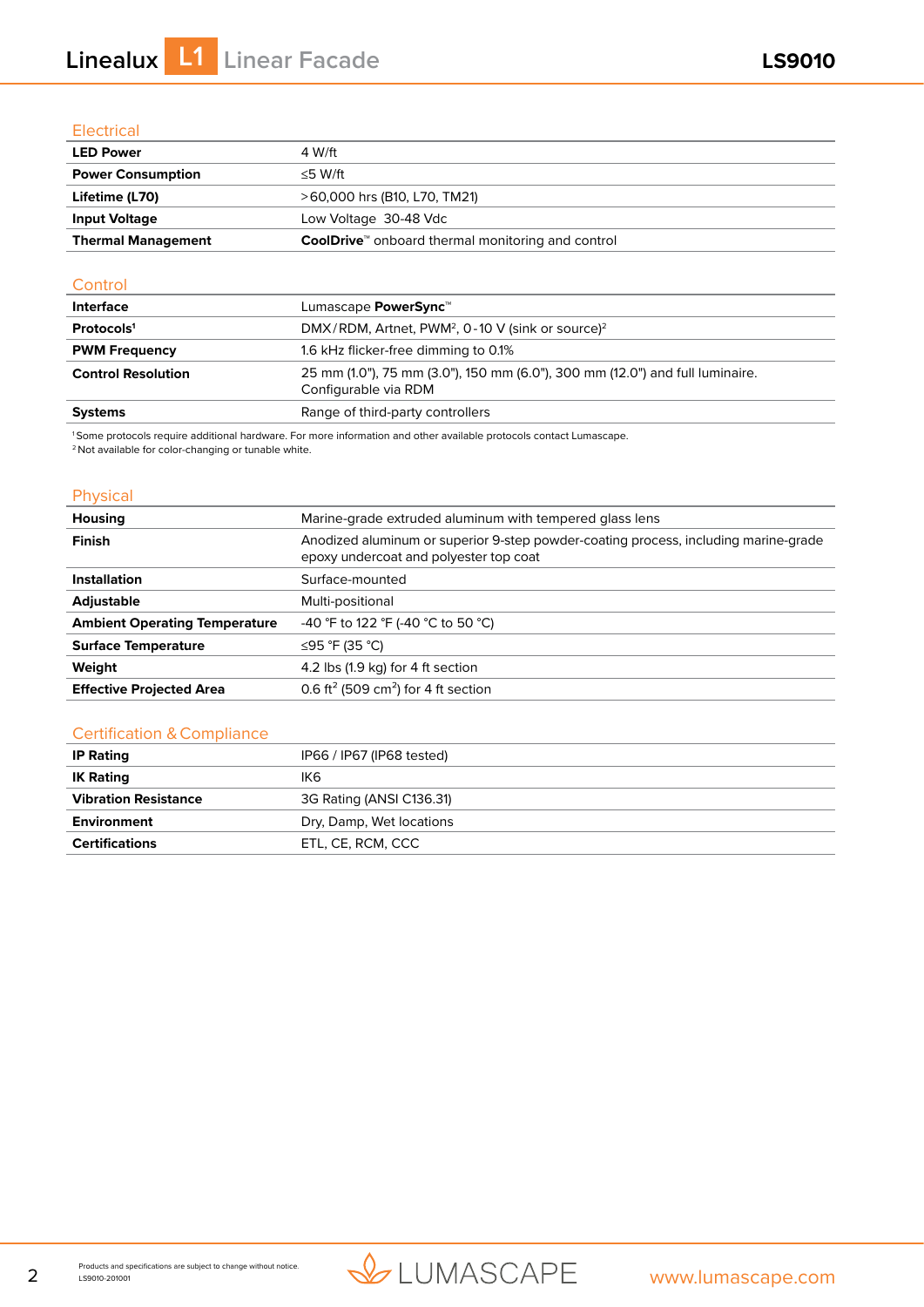# Electrical

| <b>LED Power</b>          | 4 W/ft                                                               |
|---------------------------|----------------------------------------------------------------------|
| <b>Power Consumption</b>  | $<$ 5 W/ft                                                           |
| Lifetime (L70)            | >60,000 hrs (B10, L70, TM21)                                         |
| <b>Input Voltage</b>      | Low Voltage 30-48 Vdc                                                |
| <b>Thermal Management</b> | <b>CoolDrive</b> <sup>™</sup> onboard thermal monitoring and control |

### **Control**

| <b>Interface</b>          | Lumascape <b>PowerSync</b> ™                                                                          |
|---------------------------|-------------------------------------------------------------------------------------------------------|
| Protocols <sup>1</sup>    | DMX/RDM, Artnet, PWM <sup>2</sup> , 0-10 V (sink or source) <sup>2</sup>                              |
| <b>PWM Frequency</b>      | 1.6 kHz flicker-free dimming to 0.1%                                                                  |
| <b>Control Resolution</b> | 25 mm (1.0"), 75 mm (3.0"), 150 mm (6.0"), 300 mm (12.0") and full luminaire.<br>Configurable via RDM |
| <b>Systems</b>            | Range of third-party controllers                                                                      |
|                           |                                                                                                       |

1 Some protocols require additional hardware. For more information and other available protocols contact Lumascape.

2 Not available for color-changing or tunable white.

# Physical

| Housing                              | Marine-grade extruded aluminum with tempered glass lens                                                                       |  |  |
|--------------------------------------|-------------------------------------------------------------------------------------------------------------------------------|--|--|
| <b>Finish</b>                        | Anodized aluminum or superior 9-step powder-coating process, including marine-grade<br>epoxy undercoat and polyester top coat |  |  |
| Installation                         | Surface-mounted                                                                                                               |  |  |
| <b>Adjustable</b>                    | Multi-positional                                                                                                              |  |  |
| <b>Ambient Operating Temperature</b> | -40 °F to 122 °F (-40 °C to 50 °C)                                                                                            |  |  |
| <b>Surface Temperature</b>           | ≤95 °F (35 °C)                                                                                                                |  |  |
| Weight                               | 4.2 lbs (1.9 kg) for 4 ft section                                                                                             |  |  |
| <b>Effective Projected Area</b>      | 0.6 ft <sup>2</sup> (509 cm <sup>2</sup> ) for 4 ft section                                                                   |  |  |

## Certification & Compliance

| <b>IP Rating</b>            | IP66 / IP67 (IP68 tested) |  |  |
|-----------------------------|---------------------------|--|--|
| <b>IK Rating</b>            | IK6.                      |  |  |
| <b>Vibration Resistance</b> | 3G Rating (ANSI C136.31)  |  |  |
| Environment                 | Dry, Damp, Wet locations  |  |  |
| <b>Certifications</b>       | ETL, CE, RCM, CCC         |  |  |

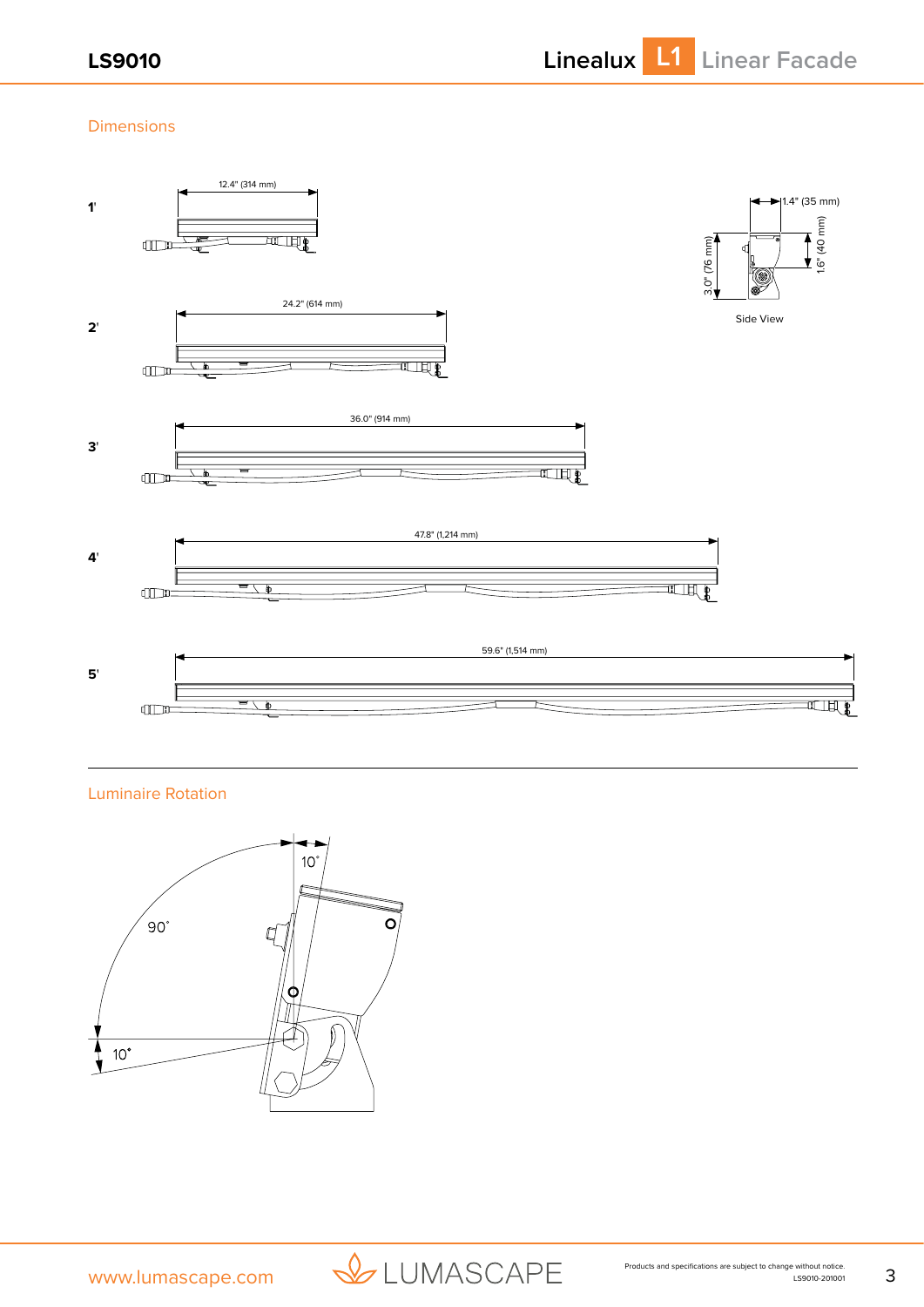# Dimensions



Luminaire Rotation



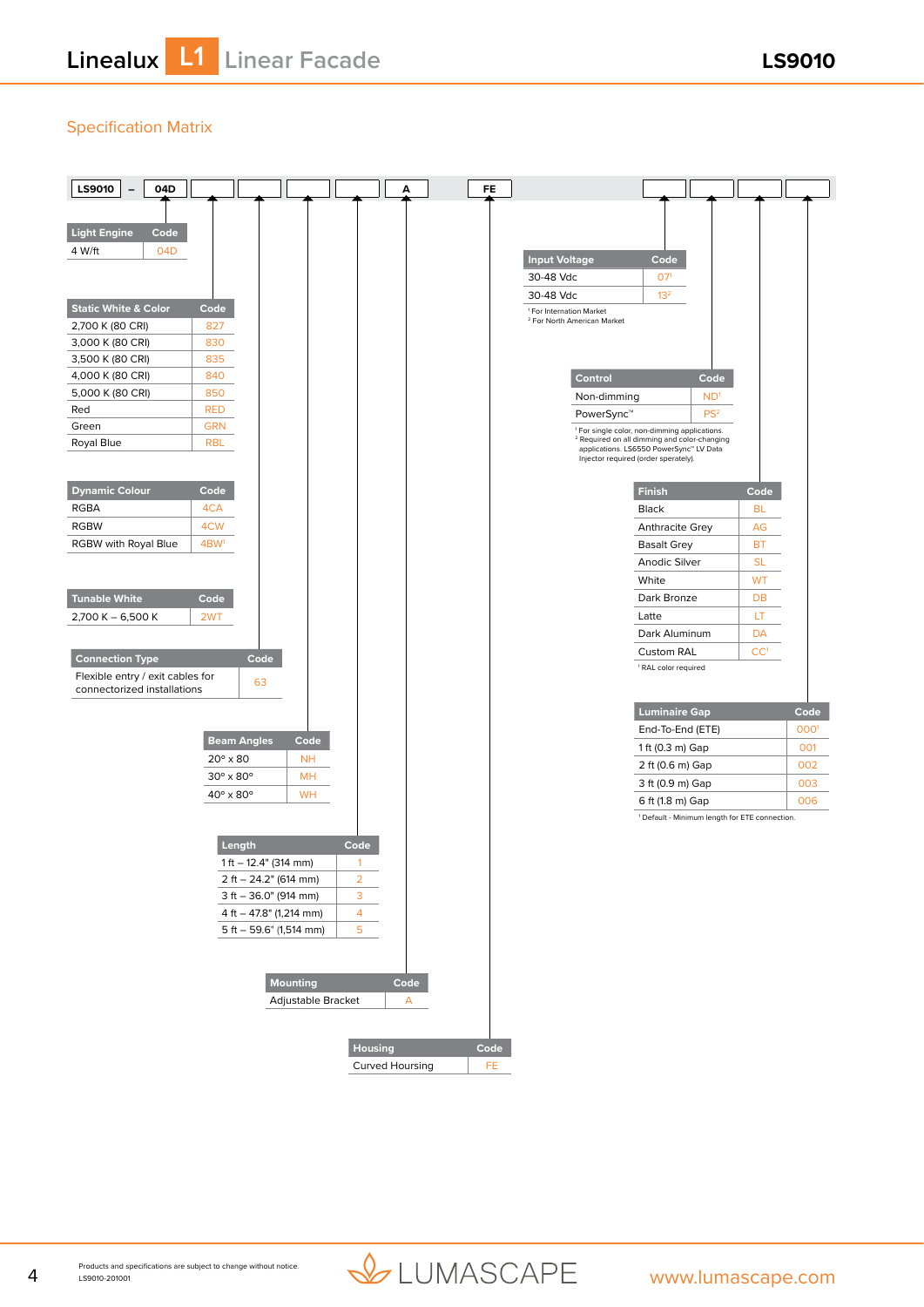# Specification Matrix



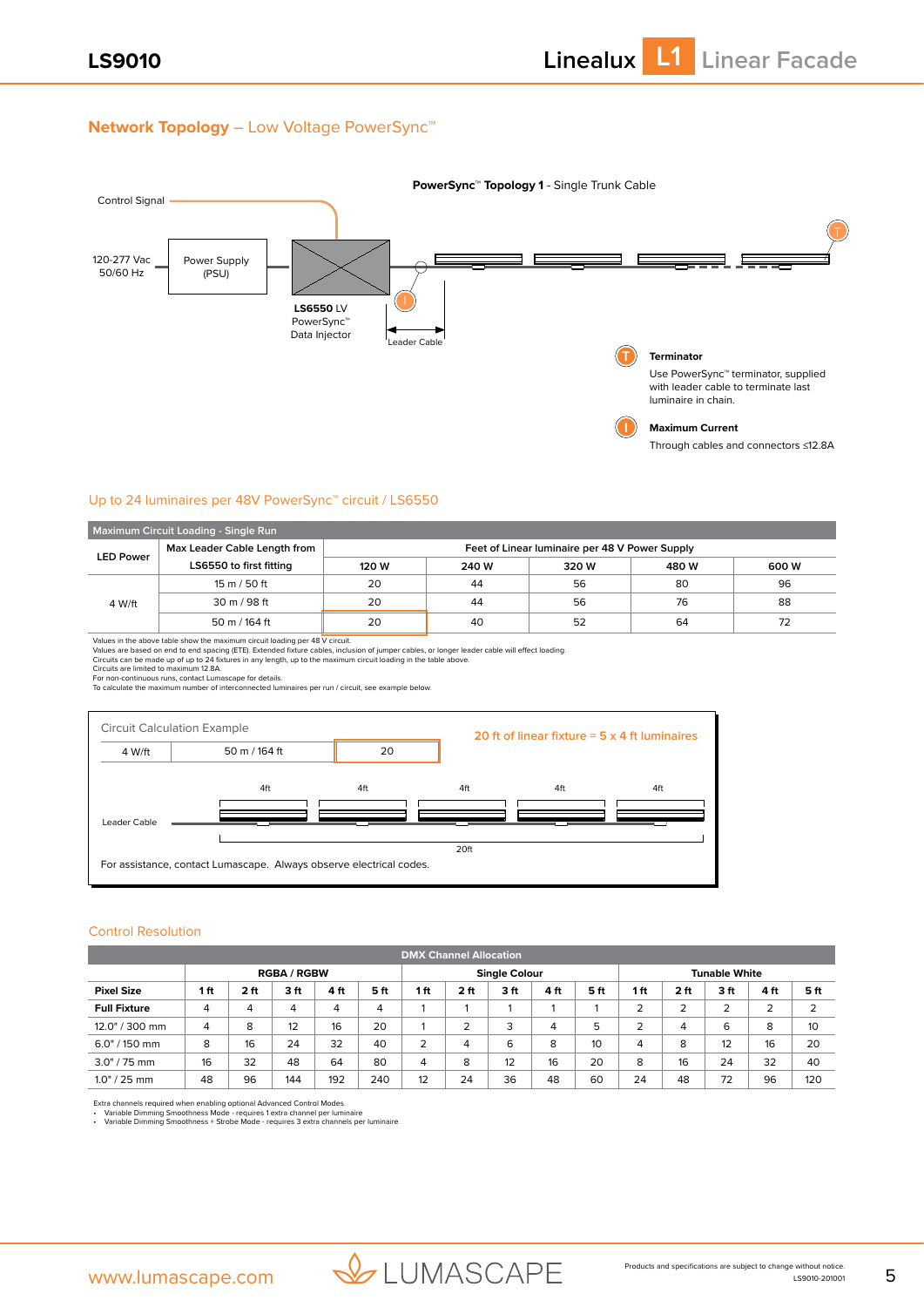## **Network Topology** – Low Voltage PowerSync™



#### Up to 24 luminaires per 48V PowerSync™ circuit / LS6550

| Maximum Circuit Loading - Single Run |                         |                                                |       |       |       |       |  |  |  |
|--------------------------------------|-------------------------|------------------------------------------------|-------|-------|-------|-------|--|--|--|
| Max Leader Cable Length from         |                         | Feet of Linear luminaire per 48 V Power Supply |       |       |       |       |  |  |  |
| <b>LED Power</b>                     | LS6550 to first fitting | 120 W                                          | 240 W | 320 W | 480 W | 600 W |  |  |  |
|                                      | 15 m / 50 ft            | 20                                             | 44    | 56    | 80    | 96    |  |  |  |
| 4 W/ft                               | 30 m / 98 ft            | 20                                             | 44    | 56    | 76    | 88    |  |  |  |
|                                      | 50 m / 164 ft           | 20                                             | 40    | 52    | 64    | 72    |  |  |  |

Values in the above table show the maximum circuit loading per 48 V circuit.<br>Values are based on end to end spacing (ETE). Extended fixture cables, inclusion of jumper cables, or longer leader cable will effect loading.<br>Ci



#### Control Resolution

| <b>DMX Channel Allocation</b> |                |      |                    |      |      |                |      |                      |      |      |     |                 |                      |      |     |
|-------------------------------|----------------|------|--------------------|------|------|----------------|------|----------------------|------|------|-----|-----------------|----------------------|------|-----|
|                               |                |      | <b>RGBA / RGBW</b> |      |      |                |      | <b>Single Colour</b> |      |      |     |                 | <b>Tunable White</b> |      |     |
| <b>Pixel Size</b>             | 1 ft           | 2 ft | 3ft                | 4 ft | 5 ft | 1ft            | 2 ft | 3 ft                 | 4 ft | 5 ft | 1ft | 2 <sub>ft</sub> | 3 ft                 | 4 ft | 5ft |
| <b>Full Fixture</b>           | $\overline{4}$ | 4    | 4                  | 4    | 4    |                |      |                      |      |      | 2   | 2               | 2                    | 2    |     |
| 12.0" / 300 mm                | 4              | 8    | 12                 | 16   | 20   |                | ∍    | 3                    | 4    | 5    | っ   | 4               | 6                    | 8    | 10  |
| $6.0" / 150$ mm               | 8              | 16   | 24                 | 32   | 40   | $\overline{2}$ | 4    | 6                    | 8    | 10   | 4   | 8               | 12                   | 16   | 20  |
| $3.0" / 75$ mm                | 16             | 32   | 48                 | 64   | 80   | $\overline{4}$ | 8    | 12                   | 16   | 20   | 8   | 16              | 24                   | 32   | 40  |
| $1.0" / 25$ mm                | 48             | 96   | 144                | 192  | 240  | 12             | 24   | 36                   | 48   | 60   | 24  | 48              | 72                   | 96   | 120 |

Extra channels required when enabling optional Advanced Control Modes.<br>• Variable Dimming Smoothness Mode - requires 1 extra channel per luminaire<br>• Variable Dimming Smoothness + Strobe Mode - requires 3 extra channe

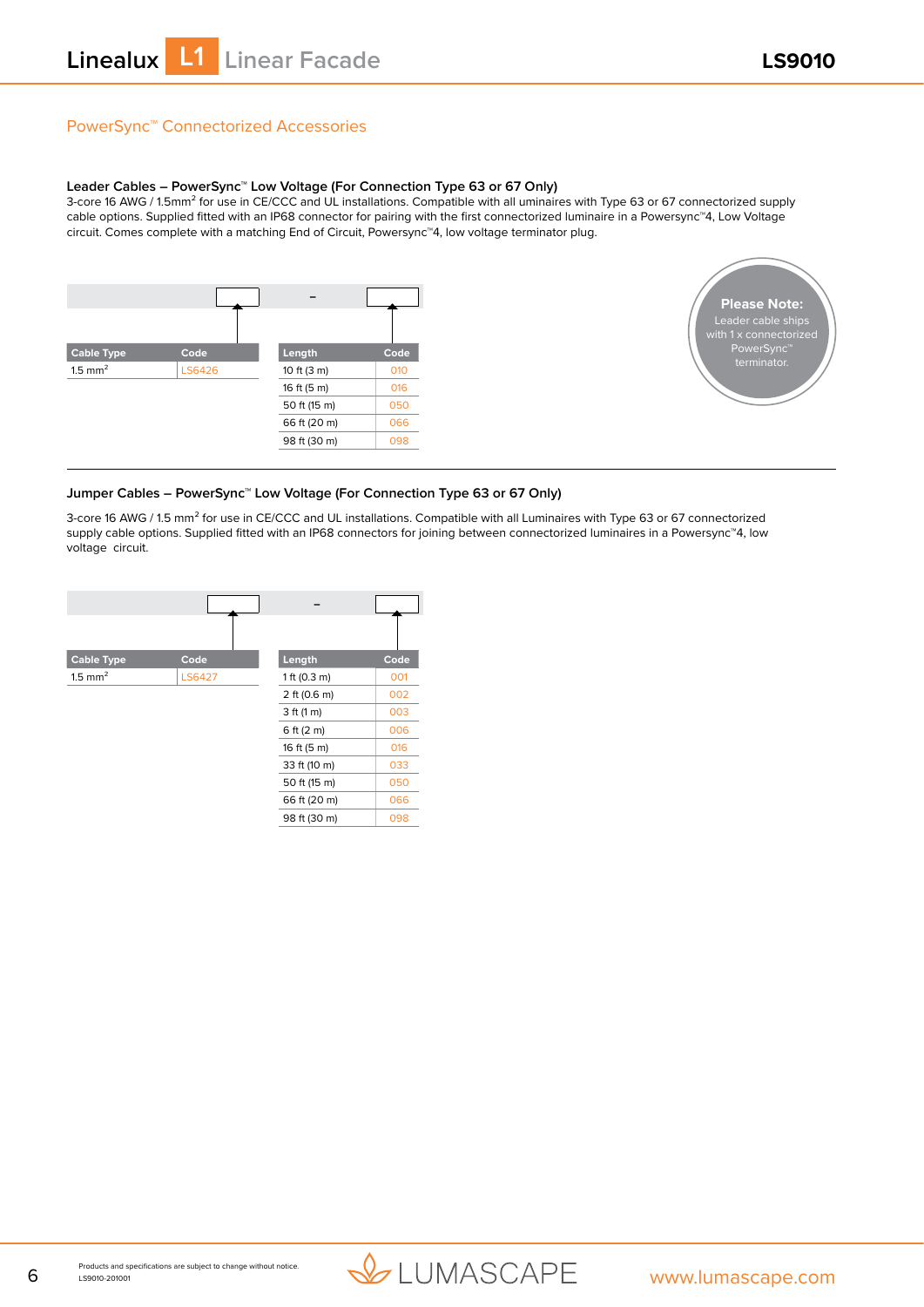# PowerSync™ Connectorized Accessories

#### **Leader Cables – PowerSync™ Low Voltage (For Connection Type 63 or 67 Only)**

3-core 16 AWG / 1.5mm<sup>2</sup> for use in CE/CCC and UL installations. Compatible with all uminaires with Type 63 or 67 connectorized supply cable options. Supplied fitted with an IP68 connector for pairing with the first connectorized luminaire in a Powersync™4, Low Voltage circuit. Comes complete with a matching End of Circuit, Powersync™4, low voltage terminator plug.



![](_page_5_Picture_6.jpeg)

#### **Jumper Cables – PowerSync™ Low Voltage (For Connection Type 63 or 67 Only)**

3-core 16 AWG / 1.5 mm² for use in CE/CCC and UL installations. Compatible with all Luminaires with Type 63 or 67 connectorized supply cable options. Supplied fitted with an IP68 connectors for joining between connectorized luminaires in a Powersync™4, low voltage circuit.

![](_page_5_Figure_9.jpeg)

![](_page_5_Picture_11.jpeg)